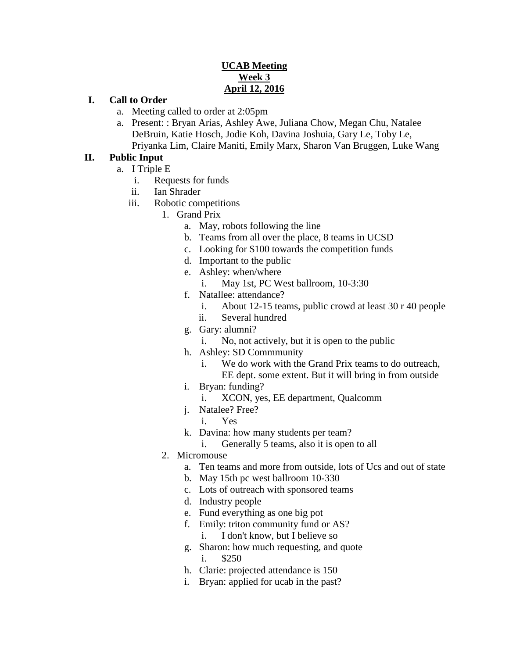### **UCAB Meeting Week 3 April 12, 2016**

#### **I. Call to Order**

- a. Meeting called to order at 2:05pm
- a. Present: : Bryan Arias, Ashley Awe, Juliana Chow, Megan Chu, Natalee DeBruin, Katie Hosch, Jodie Koh, Davina Joshuia, Gary Le, Toby Le, Priyanka Lim, Claire Maniti, Emily Marx, Sharon Van Bruggen, Luke Wang

#### **II. Public Input**

- a. I Triple E
	- i. Requests for funds
	- ii. Ian Shrader
	- iii. Robotic competitions
		- 1. Grand Prix
			- a. May, robots following the line
			- b. Teams from all over the place, 8 teams in UCSD
			- c. Looking for \$100 towards the competition funds
			- d. Important to the public
			- e. Ashley: when/where
				- i. May 1st, PC West ballroom, 10-3:30
			- f. Natallee: attendance?
				- i. About 12-15 teams, public crowd at least 30 r 40 people
				- ii. Several hundred
			- g. Gary: alumni?
				- i. No, not actively, but it is open to the public
			- h. Ashley: SD Commmunity
				- i. We do work with the Grand Prix teams to do outreach, EE dept. some extent. But it will bring in from outside
			- i. Bryan: funding?
				- i. XCON, yes, EE department, Qualcomm
			- j. Natalee? Free?
				- i. Yes
			- k. Davina: how many students per team?
				- i. Generally 5 teams, also it is open to all
			- 2. Micromouse
				- a. Ten teams and more from outside, lots of Ucs and out of state
				- b. May 15th pc west ballroom 10-330
				- c. Lots of outreach with sponsored teams
				- d. Industry people
				- e. Fund everything as one big pot
				- f. Emily: triton community fund or AS?
					- i. I don't know, but I believe so
				- g. Sharon: how much requesting, and quote i. \$250
				- h. Clarie: projected attendance is 150
				- i. Bryan: applied for ucab in the past?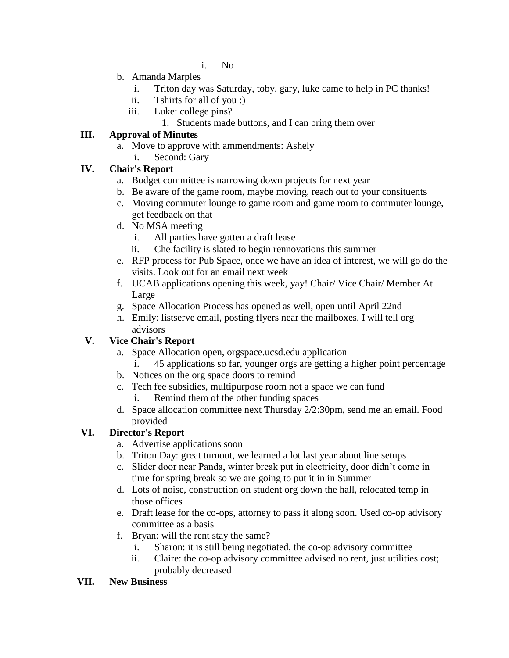- i. No
- b. Amanda Marples
	- i. Triton day was Saturday, toby, gary, luke came to help in PC thanks!
	- ii. Tshirts for all of you :)
	- iii. Luke: college pins?
		- 1. Students made buttons, and I can bring them over

## **III. Approval of Minutes**

- a. Move to approve with ammendments: Ashely
	- i. Second: Gary

# **IV. Chair's Report**

- a. Budget committee is narrowing down projects for next year
- b. Be aware of the game room, maybe moving, reach out to your consituents
- c. Moving commuter lounge to game room and game room to commuter lounge, get feedback on that
- d. No MSA meeting
	- i. All parties have gotten a draft lease
	- ii. Che facility is slated to begin rennovations this summer
- e. RFP process for Pub Space, once we have an idea of interest, we will go do the visits. Look out for an email next week
- f. UCAB applications opening this week, yay! Chair/ Vice Chair/ Member At Large
- g. Space Allocation Process has opened as well, open until April 22nd
- h. Emily: listserve email, posting flyers near the mailboxes, I will tell org advisors

# **V. Vice Chair's Report**

- a. Space Allocation open, orgspace.ucsd.edu application
	- i. 45 applications so far, younger orgs are getting a higher point percentage
- b. Notices on the org space doors to remind
- c. Tech fee subsidies, multipurpose room not a space we can fund
	- i. Remind them of the other funding spaces
- d. Space allocation committee next Thursday 2/2:30pm, send me an email. Food provided

# **VI. Director's Report**

- a. Advertise applications soon
- b. Triton Day: great turnout, we learned a lot last year about line setups
- c. Slider door near Panda, winter break put in electricity, door didn't come in time for spring break so we are going to put it in in Summer
- d. Lots of noise, construction on student org down the hall, relocated temp in those offices
- e. Draft lease for the co-ops, attorney to pass it along soon. Used co-op advisory committee as a basis
- f. Bryan: will the rent stay the same?
	- i. Sharon: it is still being negotiated, the co-op advisory committee
	- ii. Claire: the co-op advisory committee advised no rent, just utilities cost; probably decreased

### **VII. New Business**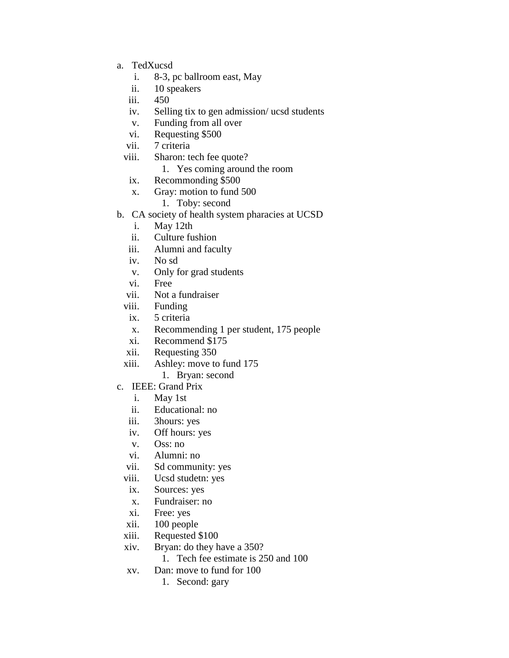- a. TedXucsd
	- i. 8-3, pc ballroom east, May
	- ii. 10 speakers
	- iii. 450
	- iv. Selling tix to gen admission/ ucsd students
	- v. Funding from all over
	- vi. Requesting \$500
	- vii. 7 criteria
	- viii. Sharon: tech fee quote?
		- 1. Yes coming around the room
	- ix. Recommonding \$500
	- x. Gray: motion to fund 500
		- 1. Toby: second
- b. CA society of health system pharacies at UCSD
	- i. May 12th
	- ii. Culture fushion
	- iii. Alumni and faculty
	- iv. No sd
	- v. Only for grad students
	- vi. Free
	- vii. Not a fundraiser
	- viii. Funding
	- ix. 5 criteria
	- x. Recommending 1 per student, 175 people
	- xi. Recommend \$175
	- xii. Requesting 350
	- xiii. Ashley: move to fund 175
		- 1. Bryan: second
- c. IEEE: Grand Prix
	- i. May 1st
	- ii. Educational: no
	- iii. 3hours: yes
	- iv. Off hours: yes
	- v. Oss: no
	- vi. Alumni: no
	- vii. Sd community: yes
	- viii. Ucsd studetn: yes
	- ix. Sources: yes
	- x. Fundraiser: no
	- xi. Free: yes
	- xii. 100 people
	- xiii. Requested \$100
	- xiv. Bryan: do they have a 350?
		- 1. Tech fee estimate is 250 and 100
	- xv. Dan: move to fund for 100
		- 1. Second: gary